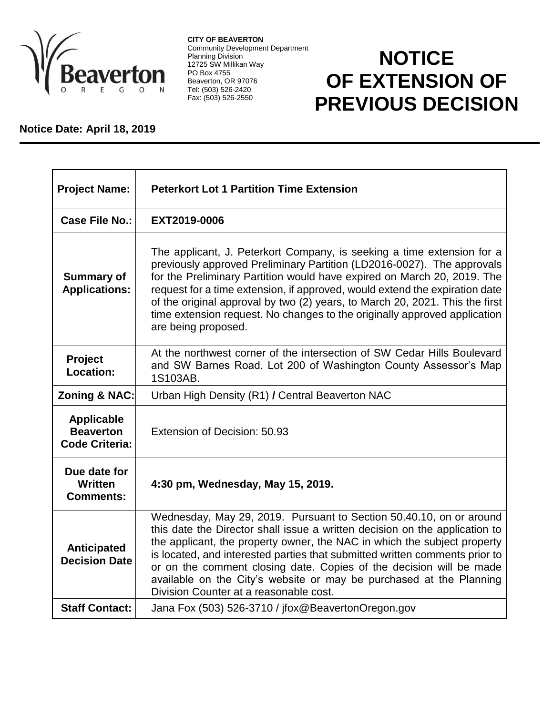

**CITY OF BEAVERTON** Community Development Department Planning Division 12725 SW Millikan Way PO Box 4755 Beaverton, OR 97076 Tel: (503) 526-2420 Fax: (503) 526-2550

## **NOTICE OF EXTENSION OF PREVIOUS DECISION**

## **Notice Date: April 18, 2019**

| <b>Project Name:</b>                                           | <b>Peterkort Lot 1 Partition Time Extension</b>                                                                                                                                                                                                                                                                                                                                                                                                                                                       |
|----------------------------------------------------------------|-------------------------------------------------------------------------------------------------------------------------------------------------------------------------------------------------------------------------------------------------------------------------------------------------------------------------------------------------------------------------------------------------------------------------------------------------------------------------------------------------------|
| Case File No.:                                                 | EXT2019-0006                                                                                                                                                                                                                                                                                                                                                                                                                                                                                          |
| <b>Summary of</b><br><b>Applications:</b>                      | The applicant, J. Peterkort Company, is seeking a time extension for a<br>previously approved Preliminary Partition (LD2016-0027). The approvals<br>for the Preliminary Partition would have expired on March 20, 2019. The<br>request for a time extension, if approved, would extend the expiration date<br>of the original approval by two (2) years, to March 20, 2021. This the first<br>time extension request. No changes to the originally approved application<br>are being proposed.        |
| <b>Project</b><br>Location:                                    | At the northwest corner of the intersection of SW Cedar Hills Boulevard<br>and SW Barnes Road. Lot 200 of Washington County Assessor's Map<br>1S103AB.                                                                                                                                                                                                                                                                                                                                                |
| <b>Zoning &amp; NAC:</b>                                       | Urban High Density (R1) / Central Beaverton NAC                                                                                                                                                                                                                                                                                                                                                                                                                                                       |
| <b>Applicable</b><br><b>Beaverton</b><br><b>Code Criteria:</b> | Extension of Decision: 50.93                                                                                                                                                                                                                                                                                                                                                                                                                                                                          |
| Due date for<br><b>Written</b><br><b>Comments:</b>             | 4:30 pm, Wednesday, May 15, 2019.                                                                                                                                                                                                                                                                                                                                                                                                                                                                     |
| Anticipated<br><b>Decision Date</b>                            | Wednesday, May 29, 2019. Pursuant to Section 50.40.10, on or around<br>this date the Director shall issue a written decision on the application to<br>the applicant, the property owner, the NAC in which the subject property<br>is located, and interested parties that submitted written comments prior to<br>or on the comment closing date. Copies of the decision will be made<br>available on the City's website or may be purchased at the Planning<br>Division Counter at a reasonable cost. |
| <b>Staff Contact:</b>                                          | Jana Fox (503) 526-3710 / jfox@BeavertonOregon.gov                                                                                                                                                                                                                                                                                                                                                                                                                                                    |